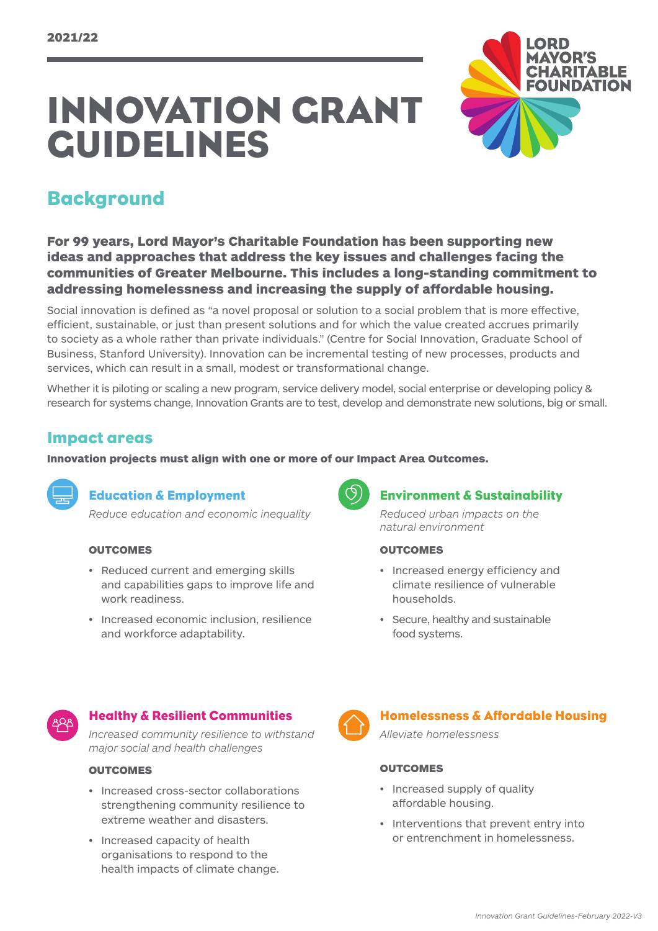# INNOVATION GRANT GUIDELINES



## Background

For 99 years, Lord Mayor's Charitable Foundation has been supporting new ideas and approaches that address the key issues and challenges facing the communities of Greater Melbourne. This includes a long-standing commitment to addressing homelessness and increasing the supply of affordable housing.

Social innovation is defined as "a novel proposal or solution to a social problem that is more effective, efficient, sustainable, or just than present solutions and for which the value created accrues primarily to society as a whole rather than private individuals." (Centre for Social Innovation, Graduate School of Business, Stanford University). Innovation can be incremental testing of new processes, products and services, which can result in a small, modest or transformational change.

Whether it is piloting or scaling a new program, service delivery model, social enterprise or developing policy & research for systems change, Innovation Grants are to test, develop and demonstrate new solutions, big or small.

### Impact areas

Innovation projects must align with one or more of our Impact Area Outcomes.



### [Education & Employment](https://www.lmcf.org.au/our-impact/impact-areas/education-employment)

*Reduce education and economic inequality*

#### **OUTCOMES**

- Reduced current and emerging skills and capabilities gaps to improve life and work readiness.
- Increased economic inclusion, resilience and workforce adaptability.



#### [Environment & Sustainability](https://www.lmcf.org.au/our-impact/impact-areas/environment-sustainability)

*Reduced urban impacts on the natural environment*

#### **OUTCOMES**

- Increased energy efficiency and climate resilience of vulnerable households.
- Secure, healthy and sustainable food systems.



*Increased community resilience to withstand major social and health challenges* 

#### **OUTCOMES**

- Increased cross-sector collaborations strengthening community resilience to extreme weather and disasters.
- Increased capacity of health organisations to respond to the health impacts of climate change.



## [Healthy & Resilient Communities](https://www.lmcf.org.au/our-impact/impact-areas/healthy-resilient-communities) **[Homelessness & Affordable Housing](https://www.lmcf.org.au/our-impact/impact-areas/homelessness-affordable-housing)**

*Alleviate homelessness*

#### **OUTCOMES**

- Increased supply of quality affordable housing.
- Interventions that prevent entry into or entrenchment in homelessness.